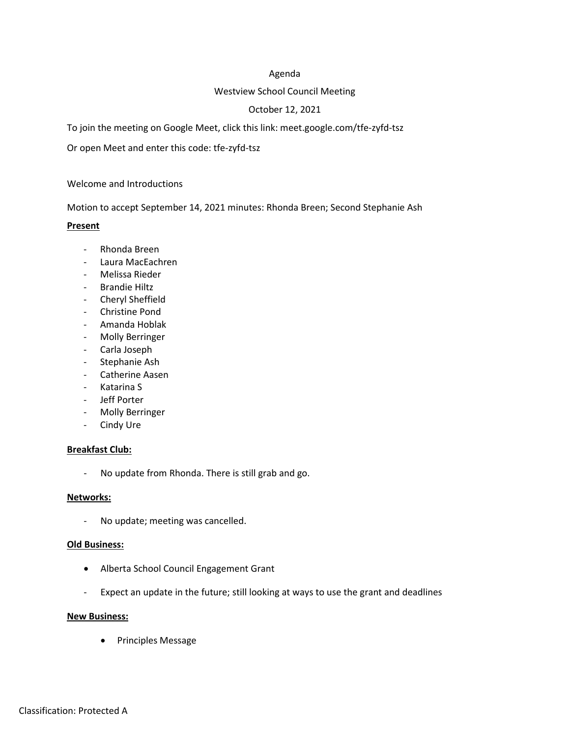### Agenda

### Westview School Council Meeting

# October 12, 2021

To join the meeting on Google Meet, click this link: meet.google.com/tfe-zyfd-tsz

Or open Meet and enter this code: tfe-zyfd-tsz

Welcome and Introductions

Motion to accept September 14, 2021 minutes: Rhonda Breen; Second Stephanie Ash

### **Present**

- Rhonda Breen
- Laura MacEachren
- Melissa Rieder
- Brandie Hiltz
- Cheryl Sheffield
- Christine Pond
- Amanda Hoblak
- Molly Berringer
- Carla Joseph
- Stephanie Ash
- Catherine Aasen
- Katarina S
- Jeff Porter
- Molly Berringer
- Cindy Ure

### **Breakfast Club:**

- No update from Rhonda. There is still grab and go.

### **Networks:**

- No update; meeting was cancelled.

### **Old Business:**

- Alberta School Council Engagement Grant
- Expect an update in the future; still looking at ways to use the grant and deadlines

### **New Business:**

• Principles Message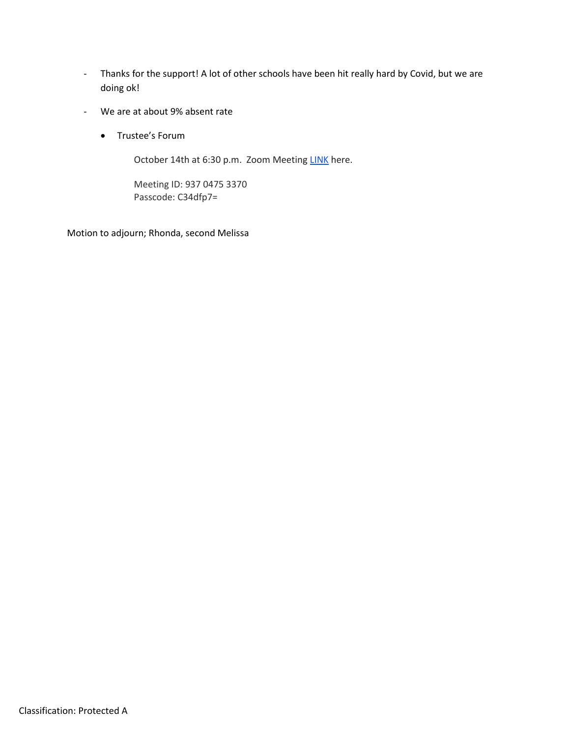- Thanks for the support! A lot of other schools have been hit really hard by Covid, but we are doing ok!
- We are at about 9% absent rate
	- Trustee's Forum

October 14th at 6:30 p.m. Zoom Meeting LINK here.

Meeting ID: 937 0475 3370 Passcode: C34dfp7=

Motion to adjourn; Rhonda, second Melissa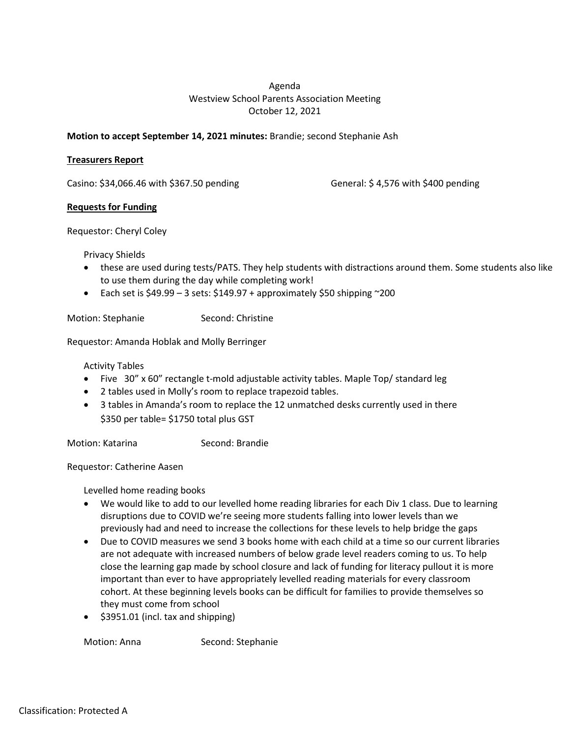# Agenda Westview School Parents Association Meeting October 12, 2021

## **Motion to accept September 14, 2021 minutes:** Brandie; second Stephanie Ash

### **Treasurers Report**

Casino: \$34,066.46 with \$367.50 pending General: \$ 4,576 with \$400 pending

### **Requests for Funding**

Requestor: Cheryl Coley

Privacy Shields

- these are used during tests/PATS. They help students with distractions around them. Some students also like to use them during the day while completing work!
- Each set is  $$49.99 3 \text{ sets}: $149.97 + \text{approximately $50 shipping } ^200$

Motion: Stephanie Second: Christine

Requestor: Amanda Hoblak and Molly Berringer

Activity Tables

- Five 30" x 60" rectangle t-mold adjustable activity tables. Maple Top/ standard leg
- 2 tables used in Molly's room to replace trapezoid tables.
- 3 tables in Amanda's room to replace the 12 unmatched desks currently used in there \$350 per table= \$1750 total plus GST

Motion: Katarina Second: Brandie

Requestor: Catherine Aasen

Levelled home reading books

- We would like to add to our levelled home reading libraries for each Div 1 class. Due to learning disruptions due to COVID we're seeing more students falling into lower levels than we previously had and need to increase the collections for these levels to help bridge the gaps
- Due to COVID measures we send 3 books home with each child at a time so our current libraries are not adequate with increased numbers of below grade level readers coming to us. To help close the learning gap made by school closure and lack of funding for literacy pullout it is more important than ever to have appropriately levelled reading materials for every classroom cohort. At these beginning levels books can be difficult for families to provide themselves so they must come from school
- $\bullet$  \$3951.01 (incl. tax and shipping)

Motion: Anna Second: Stephanie